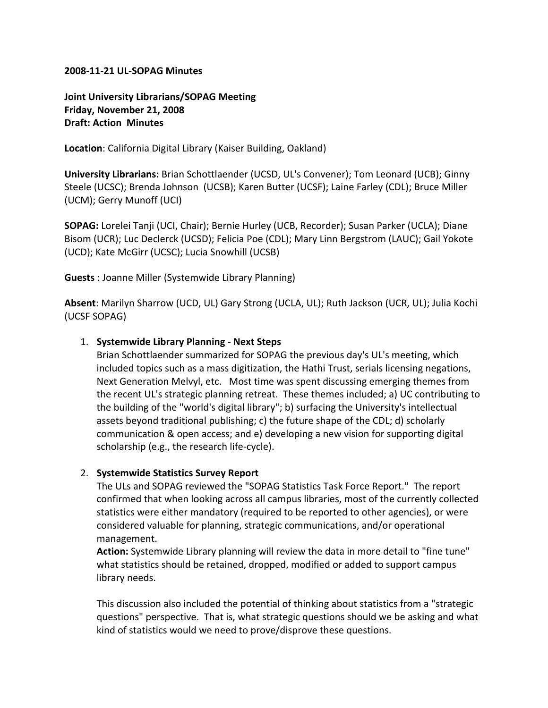#### **2008‐11‐21 UL‐SOPAG Minutes**

**Joint University Librarians/SOPAG Meeting Friday, November 21, 2008 Draft: Action Minutes**

**Location**: California Digital Library (Kaiser Building, Oakland)

**University Librarians:** Brian Schottlaender (UCSD, UL's Convener); Tom Leonard (UCB); Ginny Steele (UCSC); Brenda Johnson (UCSB); Karen Butter (UCSF); Laine Farley (CDL); Bruce Miller (UCM); Gerry Munoff (UCI)

**SOPAG:** Lorelei Tanji (UCI, Chair); Bernie Hurley (UCB, Recorder); Susan Parker (UCLA); Diane Bisom (UCR); Luc Declerck (UCSD); Felicia Poe (CDL); Mary Linn Bergstrom (LAUC); Gail Yokote (UCD); Kate McGirr (UCSC); Lucia Snowhill (UCSB)

**Guests** : Joanne Miller (Systemwide Library Planning)

**Absent**: Marilyn Sharrow (UCD, UL) Gary Strong (UCLA, UL); Ruth Jackson (UCR, UL); Julia Kochi (UCSF SOPAG)

### 1. **Systemwide Library Planning ‐ Next Steps**

Brian Schottlaender summarized for SOPAG the previous day's UL's meeting, which included topics such as a mass digitization, the Hathi Trust, serials licensing negations, Next Generation Melvyl, etc. Most time was spent discussing emerging themes from the recent UL's strategic planning retreat. These themes included; a) UC contributing to the building of the "world's digital library"; b) surfacing the University's intellectual assets beyond traditional publishing; c) the future shape of the CDL; d) scholarly communication & open access; and e) developing a new vision for supporting digital scholarship (e.g., the research life‐cycle).

### 2. **Systemwide Statistics Survey Report**

The ULs and SOPAG reviewed the "SOPAG Statistics Task Force Report." The report confirmed that when looking across all campus libraries, most of the currently collected statistics were either mandatory (required to be reported to other agencies), or were considered valuable for planning, strategic communications, and/or operational management.

**Action:** Systemwide Library planning will review the data in more detail to "fine tune" what statistics should be retained, dropped, modified or added to support campus library needs.

This discussion also included the potential of thinking about statistics from a "strategic questions" perspective. That is, what strategic questions should we be asking and what kind of statistics would we need to prove/disprove these questions.